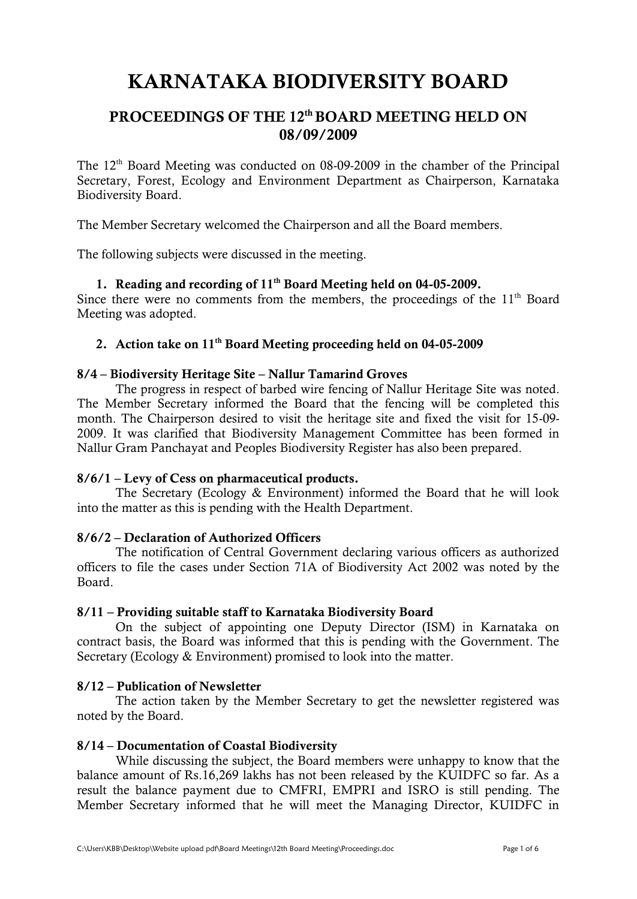# **KARNATAKA BIODIVERSITY BOARD**

## PROCEEDINGS OF THE 12<sup>th</sup> BOARD MEETING HELD ON **08/09/2009**

The 12<sup>th</sup> Board Meeting was conducted on 08-09-2009 in the chamber of the Principal Secretary, Forest, Ecology and Environment Department as Chairperson, Karnataka Biodiversity Board.

The Member Secretary welcomed the Chairperson and all the Board members.

The following subjects were discussed in the meeting.

#### **1. Reading and recording of 11th Board Meeting held on 04-05-2009.**

Since there were no comments from the members, the proceedings of the  $11<sup>th</sup>$  Board Meeting was adopted.

## **2. Action take on 11th Board Meeting proceeding held on 04-05-2009**

#### **8/4 – Biodiversity Heritage Site – Nallur Tamarind Groves**

The progress in respect of barbed wire fencing of Nallur Heritage Site was noted. The Member Secretary informed the Board that the fencing will be completed this month. The Chairperson desired to visit the heritage site and fixed the visit for 15-09- 2009. It was clarified that Biodiversity Management Committee has been formed in Nallur Gram Panchayat and Peoples Biodiversity Register has also been prepared.

#### **8/6/1 – Levy of Cess on pharmaceutical products.**

The Secretary (Ecology & Environment) informed the Board that he will look into the matter as this is pending with the Health Department.

#### **8/6/2 – Declaration of Authorized Officers**

The notification of Central Government declaring various officers as authorized officers to file the cases under Section 71A of Biodiversity Act 2002 was noted by the **Board** 

#### **8/11 – Providing suitable staff to Karnataka Biodiversity Board**

On the subject of appointing one Deputy Director (ISM) in Karnataka on contract basis, the Board was informed that this is pending with the Government. The Secretary (Ecology & Environment) promised to look into the matter.

#### **8/12 – Publication of Newsletter**

The action taken by the Member Secretary to get the newsletter registered was noted by the Board.

#### **8/14 – Documentation of Coastal Biodiversity**

While discussing the subject, the Board members were unhappy to know that the balance amount of Rs.16,269 lakhs has not been released by the KUIDFC so far. As a result the balance payment due to CMFRI, EMPRI and ISRO is still pending. The Member Secretary informed that he will meet the Managing Director, KUIDFC in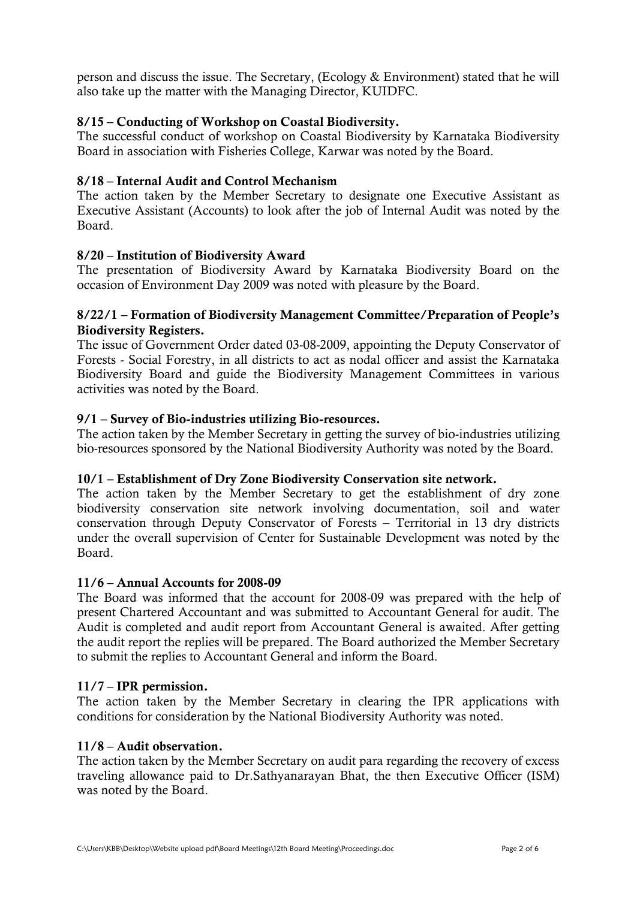person and discuss the issue. The Secretary, (Ecology & Environment) stated that he will also take up the matter with the Managing Director, KUIDFC.

## **8/15 – Conducting of Workshop on Coastal Biodiversity.**

The successful conduct of workshop on Coastal Biodiversity by Karnataka Biodiversity Board in association with Fisheries College, Karwar was noted by the Board.

#### **8/18 – Internal Audit and Control Mechanism**

The action taken by the Member Secretary to designate one Executive Assistant as Executive Assistant (Accounts) to look after the job of Internal Audit was noted by the Board.

#### **8/20 – Institution of Biodiversity Award**

The presentation of Biodiversity Award by Karnataka Biodiversity Board on the occasion of Environment Day 2009 was noted with pleasure by the Board.

#### **8/22/1 – Formation of Biodiversity Management Committee/Preparation of People's Biodiversity Registers.**

The issue of Government Order dated 03-08-2009, appointing the Deputy Conservator of Forests - Social Forestry, in all districts to act as nodal officer and assist the Karnataka Biodiversity Board and guide the Biodiversity Management Committees in various activities was noted by the Board.

#### **9/1 – Survey of Bio-industries utilizing Bio-resources.**

The action taken by the Member Secretary in getting the survey of bio-industries utilizing bio-resources sponsored by the National Biodiversity Authority was noted by the Board.

#### **10/1 – Establishment of Dry Zone Biodiversity Conservation site network.**

The action taken by the Member Secretary to get the establishment of dry zone biodiversity conservation site network involving documentation, soil and water conservation through Deputy Conservator of Forests – Territorial in 13 dry districts under the overall supervision of Center for Sustainable Development was noted by the Board.

#### **11/6 – Annual Accounts for 2008-09**

The Board was informed that the account for 2008-09 was prepared with the help of present Chartered Accountant and was submitted to Accountant General for audit. The Audit is completed and audit report from Accountant General is awaited. After getting the audit report the replies will be prepared. The Board authorized the Member Secretary to submit the replies to Accountant General and inform the Board.

#### **11/7 – IPR permission.**

The action taken by the Member Secretary in clearing the IPR applications with conditions for consideration by the National Biodiversity Authority was noted.

#### **11/8 – Audit observation.**

The action taken by the Member Secretary on audit para regarding the recovery of excess traveling allowance paid to Dr.Sathyanarayan Bhat, the then Executive Officer (ISM) was noted by the Board.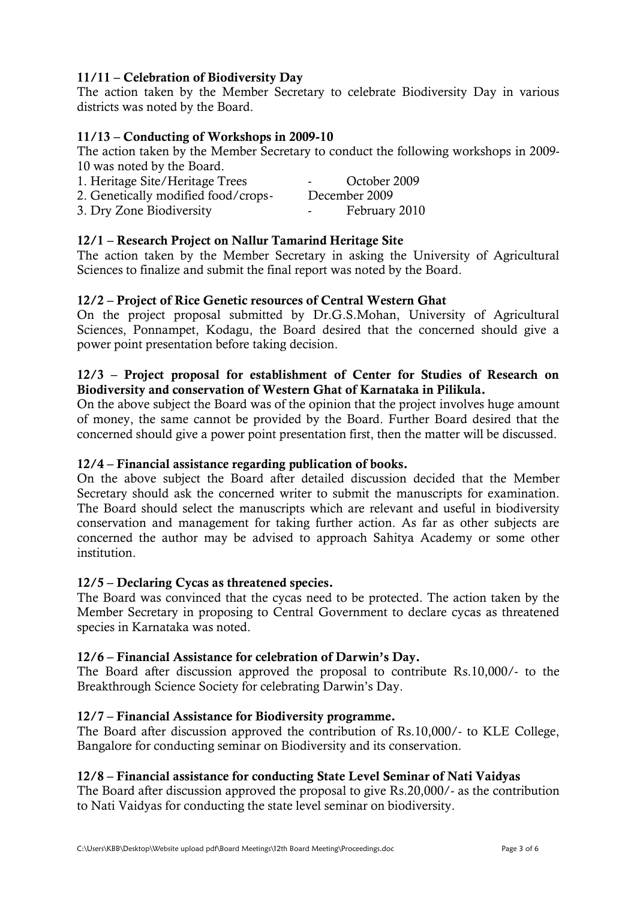## **11/11 – Celebration of Biodiversity Day**

The action taken by the Member Secretary to celebrate Biodiversity Day in various districts was noted by the Board.

#### **11/13 – Conducting of Workshops in 2009-10**

The action taken by the Member Secretary to conduct the following workshops in 2009- 10 was noted by the Board.

| 1. Heritage Site/Heritage Trees     | October 2009<br>$\sim$ $\sim$ |
|-------------------------------------|-------------------------------|
| 2. Genetically modified food/crops- | December 2009                 |
| 3. Dry Zone Biodiversity            | February 2010<br>$\sim$       |

#### **12/1 – Research Project on Nallur Tamarind Heritage Site**

The action taken by the Member Secretary in asking the University of Agricultural Sciences to finalize and submit the final report was noted by the Board.

#### **12/2 – Project of Rice Genetic resources of Central Western Ghat**

On the project proposal submitted by Dr.G.S.Mohan, University of Agricultural Sciences, Ponnampet, Kodagu, the Board desired that the concerned should give a power point presentation before taking decision.

#### **12/3 – Project proposal for establishment of Center for Studies of Research on Biodiversity and conservation of Western Ghat of Karnataka in Pilikula.**

On the above subject the Board was of the opinion that the project involves huge amount of money, the same cannot be provided by the Board. Further Board desired that the concerned should give a power point presentation first, then the matter will be discussed.

#### **12/4 – Financial assistance regarding publication of books.**

On the above subject the Board after detailed discussion decided that the Member Secretary should ask the concerned writer to submit the manuscripts for examination. The Board should select the manuscripts which are relevant and useful in biodiversity conservation and management for taking further action. As far as other subjects are concerned the author may be advised to approach Sahitya Academy or some other institution.

#### **12/5 – Declaring Cycas as threatened species.**

The Board was convinced that the cycas need to be protected. The action taken by the Member Secretary in proposing to Central Government to declare cycas as threatened species in Karnataka was noted.

#### **12/6 – Financial Assistance for celebration of Darwin's Day.**

The Board after discussion approved the proposal to contribute Rs.10,000/- to the Breakthrough Science Society for celebrating Darwin's Day.

#### **12/7 – Financial Assistance for Biodiversity programme.**

The Board after discussion approved the contribution of Rs.10,000/- to KLE College, Bangalore for conducting seminar on Biodiversity and its conservation.

#### **12/8 – Financial assistance for conducting State Level Seminar of Nati Vaidyas**

The Board after discussion approved the proposal to give Rs.20,000/- as the contribution to Nati Vaidyas for conducting the state level seminar on biodiversity.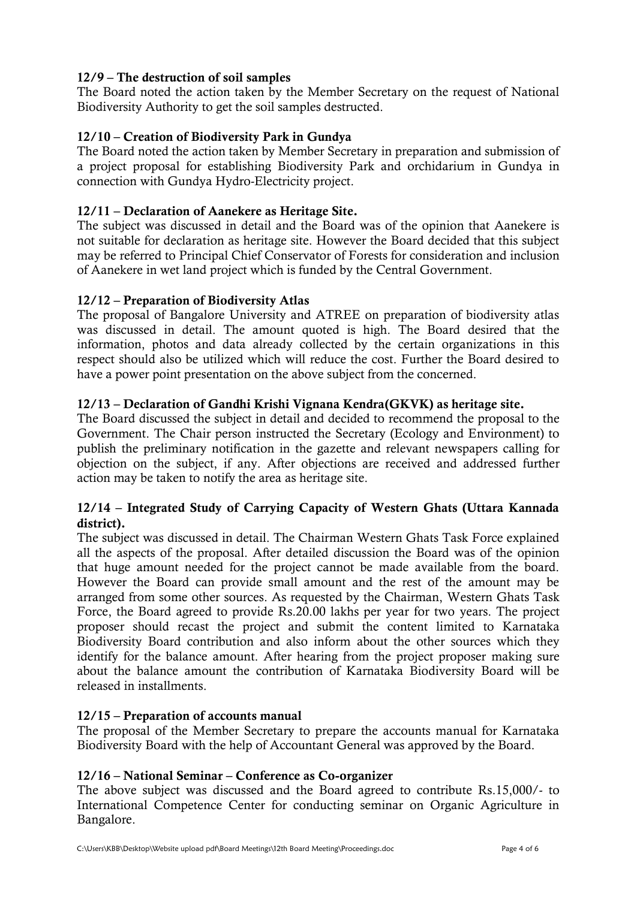## **12/9 – The destruction of soil samples**

The Board noted the action taken by the Member Secretary on the request of National Biodiversity Authority to get the soil samples destructed.

## **12/10 – Creation of Biodiversity Park in Gundya**

The Board noted the action taken by Member Secretary in preparation and submission of a project proposal for establishing Biodiversity Park and orchidarium in Gundya in connection with Gundya Hydro-Electricity project.

## **12/11 – Declaration of Aanekere as Heritage Site.**

The subject was discussed in detail and the Board was of the opinion that Aanekere is not suitable for declaration as heritage site. However the Board decided that this subject may be referred to Principal Chief Conservator of Forests for consideration and inclusion of Aanekere in wet land project which is funded by the Central Government.

## **12/12 – Preparation of Biodiversity Atlas**

The proposal of Bangalore University and ATREE on preparation of biodiversity atlas was discussed in detail. The amount quoted is high. The Board desired that the information, photos and data already collected by the certain organizations in this respect should also be utilized which will reduce the cost. Further the Board desired to have a power point presentation on the above subject from the concerned.

## **12/13 – Declaration of Gandhi Krishi Vignana Kendra(GKVK) as heritage site.**

The Board discussed the subject in detail and decided to recommend the proposal to the Government. The Chair person instructed the Secretary (Ecology and Environment) to publish the preliminary notification in the gazette and relevant newspapers calling for objection on the subject, if any. After objections are received and addressed further action may be taken to notify the area as heritage site.

## **12/14 – Integrated Study of Carrying Capacity of Western Ghats (Uttara Kannada district).**

The subject was discussed in detail. The Chairman Western Ghats Task Force explained all the aspects of the proposal. After detailed discussion the Board was of the opinion that huge amount needed for the project cannot be made available from the board. However the Board can provide small amount and the rest of the amount may be arranged from some other sources. As requested by the Chairman, Western Ghats Task Force, the Board agreed to provide Rs.20.00 lakhs per year for two years. The project proposer should recast the project and submit the content limited to Karnataka Biodiversity Board contribution and also inform about the other sources which they identify for the balance amount. After hearing from the project proposer making sure about the balance amount the contribution of Karnataka Biodiversity Board will be released in installments.

## **12/15 – Preparation of accounts manual**

The proposal of the Member Secretary to prepare the accounts manual for Karnataka Biodiversity Board with the help of Accountant General was approved by the Board.

## **12/16 – National Seminar – Conference as Co-organizer**

The above subject was discussed and the Board agreed to contribute Rs.15,000/- to International Competence Center for conducting seminar on Organic Agriculture in Bangalore.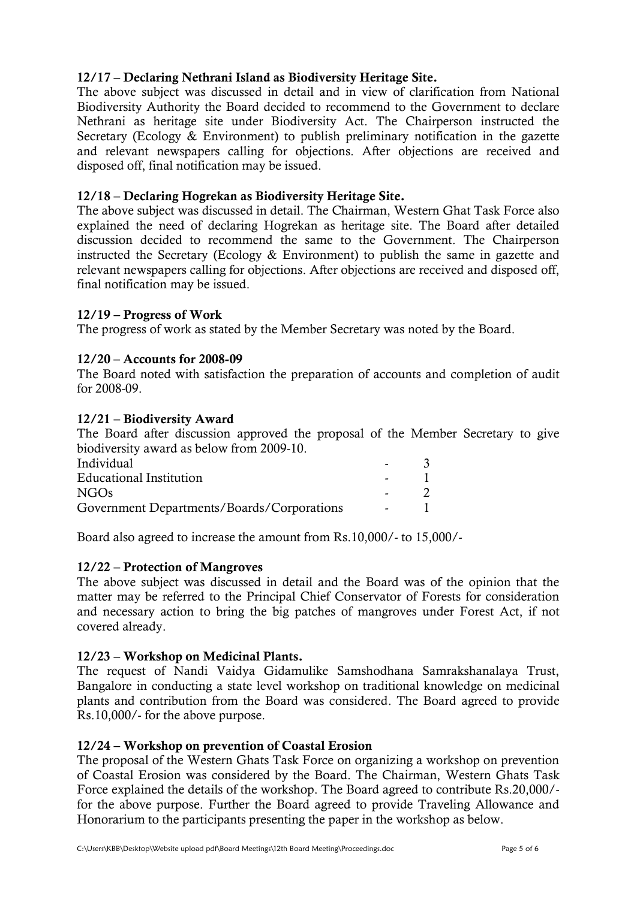## **12/17 – Declaring Nethrani Island as Biodiversity Heritage Site.**

The above subject was discussed in detail and in view of clarification from National Biodiversity Authority the Board decided to recommend to the Government to declare Nethrani as heritage site under Biodiversity Act. The Chairperson instructed the Secretary (Ecology & Environment) to publish preliminary notification in the gazette and relevant newspapers calling for objections. After objections are received and disposed off, final notification may be issued.

## **12/18 – Declaring Hogrekan as Biodiversity Heritage Site.**

The above subject was discussed in detail. The Chairman, Western Ghat Task Force also explained the need of declaring Hogrekan as heritage site. The Board after detailed discussion decided to recommend the same to the Government. The Chairperson instructed the Secretary (Ecology & Environment) to publish the same in gazette and relevant newspapers calling for objections. After objections are received and disposed off, final notification may be issued.

#### **12/19 – Progress of Work**

The progress of work as stated by the Member Secretary was noted by the Board.

#### **12/20 – Accounts for 2008-09**

The Board noted with satisfaction the preparation of accounts and completion of audit for 2008-09.

#### **12/21 – Biodiversity Award**

The Board after discussion approved the proposal of the Member Secretary to give biodiversity award as below from 2009-10.

| Individual                                 | $\sim$        |  |
|--------------------------------------------|---------------|--|
| <b>Educational Institution</b>             | $\sim$ $\sim$ |  |
| NGO <sub>s</sub>                           |               |  |
| Government Departments/Boards/Corporations | $\sim$ $\sim$ |  |

Board also agreed to increase the amount from Rs.10,000/- to 15,000/-

#### **12/22 – Protection of Mangroves**

The above subject was discussed in detail and the Board was of the opinion that the matter may be referred to the Principal Chief Conservator of Forests for consideration and necessary action to bring the big patches of mangroves under Forest Act, if not covered already.

#### **12/23 – Workshop on Medicinal Plants.**

The request of Nandi Vaidya Gidamulike Samshodhana Samrakshanalaya Trust, Bangalore in conducting a state level workshop on traditional knowledge on medicinal plants and contribution from the Board was considered. The Board agreed to provide Rs.10,000/- for the above purpose.

#### **12/24 – Workshop on prevention of Coastal Erosion**

The proposal of the Western Ghats Task Force on organizing a workshop on prevention of Coastal Erosion was considered by the Board. The Chairman, Western Ghats Task Force explained the details of the workshop. The Board agreed to contribute Rs.20,000/ for the above purpose. Further the Board agreed to provide Traveling Allowance and Honorarium to the participants presenting the paper in the workshop as below.